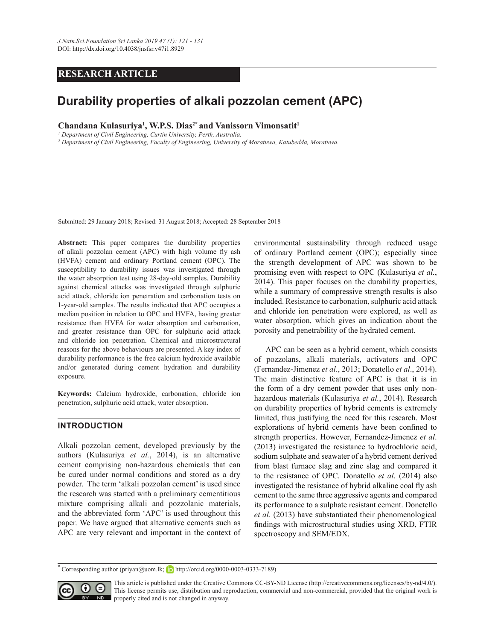## **RESEARCH ARTICLE**

# **Durability properties of alkali pozzolan cement (APC)**

 $X$ Chandana Kulasuriya<sup>1</sup>, W.P.S. Dias<sup>2\*</sup> and Vanissorn Vimonsatit<sup>1</sup>

*1 Department of Civil Engineering, Curtin University, Perth, Australia.*

*2 Department of Civil Engineering, Faculty of Engineering, University of Moratuwa, Katubedda, Moratuwa.*

Submitted: 29 January 2018; Revised: 31 August 2018; Accepted: 28 September 2018

Abstract: This paper compares the durability properties of alkali pozzolan cement (APC) with high volume fly ash (HVFA) cement and ordinary Portland cement (OPC). The susceptibility to durability issues was investigated through the water absorption test using 28-day-old samples. Durability against chemical attacks was investigated through sulphuric acid attack, chloride ion penetration and carbonation tests on 1-year-old samples. The results indicated that APC occupies a median position in relation to OPC and HVFA, having greater resistance than HVFA for water absorption and carbonation, and greater resistance than OPC for sulphuric acid attack and chloride ion penetration. Chemical and microstructural reasons for the above behaviours are presented. A key index of durability performance is the free calcium hydroxide available and/or generated during cement hydration and durability exposure.

Keywords: Calcium hydroxide, carbonation, chloride ion penetration, sulphuric acid attack, water absorption.

#### **INTRODUCTION**

Alkali pozzolan cement, developed previously by the authors (Kulasuriya et al., 2014), is an alternative cement comprising non-hazardous chemicals that can be cured under normal conditions and stored as a dry powder. The term 'alkali pozzolan cement' is used since the research was started with a preliminary cementitious mixture comprising alkali and pozzolanic materials, and the abbreviated form 'APC' is used throughout this paper. We have argued that alternative cements such as APC are very relevant and important in the context of environmental sustainability through reduced usage of ordinary Portland cement (OPC); especially since the strength development of APC was shown to be promising even with respect to OPC (Kulasuriya *et al.* 2014). This paper focuses on the durability properties, while a summary of compressive strength results is also included. Resistance to carbonation, sulphuric acid attack and chloride ion penetration were explored, as well as water absorption, which gives an indication about the porosity and penetrability of the hydrated cement.

APC can be seen as a hybrid cement, which consists of pozzolans, alkali materials, activators and OPC (Fernandez-Jimenez *et al.*, 2013; Donatello *et al.*, 2014). The main distinctive feature of APC is that it is in the form of a dry cement powder that uses only nonhazardous materials (Kulasuriya et al., 2014). Research on durability properties of hybrid cements is extremely limited, thus justifying the need for this research. Most explorations of hybrid cements have been confined to strength properties. However, Fernandez-Jimenez *et al.*  $(2013)$  investigated the resistance to hydrochloric acid. sodium sulphate and seawater of a hybrid cement derived from blast furnace slag and zinc slag and compared it to the resistance of OPC. Donatello *et al*. (2014) also investigated the resistance of hybrid alkaline coal fly ash cement to the same three aggressive agents and compared its performance to a sulphate resistant cement. Donetello *et al*. (2013) have substantiated their phenomenological findings with microstructural studies using XRD, FTIR spectroscopy and SEM/EDX.

**Corresponding author (priyan@uom.lk; b** http://orcid.org/0000-0003-0333-7189)



This article is published under the Creative Commons CC-BY-ND License (http://creativecommons.org/licenses/by-nd/4.0/). This license permits use, distribution and reproduction, commercial and non-commercial, provided that the original work is **ND** properly cited and is not changed in anyway.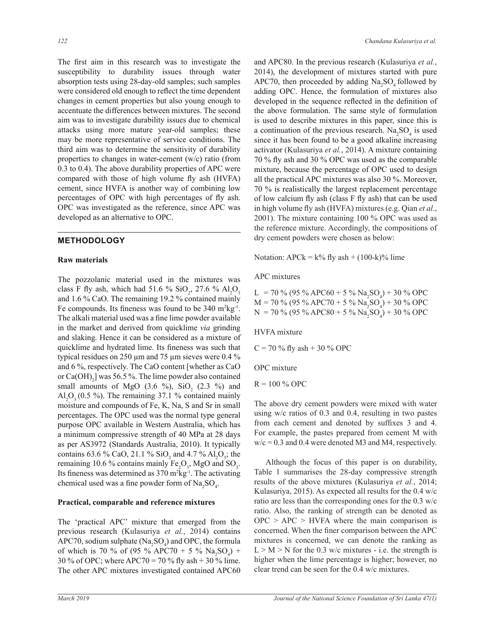The first aim in this research was to investigate the susceptibility to durability issues through water absorption tests using 28-day-old samples; such samples were considered old enough to reflect the time dependent changes in cement properties but also young enough to accentuate the differences between mixtures. The second aim was to investigate durability issues due to chemical attacks using more mature year-old samples; these may be more representative of service conditions. The third aim was to determine the sensitivity of durability properties to changes in water-cement (w/c) ratio (from 0.3 to 0.4). The above durability properties of APC were compared with those of high volume fly ash (HVFA) cement, since HVFA is another way of combining low percentages of OPC with high percentages of fly ash. OPC was investigated as the reference, since APC was developed as an alternative to OPC.

### **METHODOLOGY**

#### **Raw materials**

The pozzolanic material used in the mixtures was class F fly ash, which had 51.6 %  $SiO_2$ , 27.6 %  $Al_2O_3$ and  $1.6\%$  CaO. The remaining 19.2 % contained mainly Fe compounds. Its fineness was found to be  $340 \text{ m}^2\text{kg}^{-1}$ . The alkali material used was a fine lime powder available in the market and derived from quicklime *via* grinding and slaking. Hence it can be considered as a mixture of quicklime and hydrated lime. Its fineness was such that typical residues on 250  $\mu$ m and 75  $\mu$ m sieves were 0.4 % and  $6\%$ , respectively. The CaO content [whether as CaO or  $Ca(OH)_{2}$ ] was 56.5%. The lime powder also contained small amounts of MgO  $(3.6 \%)$ , SiO<sub>2</sub>  $(2.3 \%)$  and Al<sub>2</sub>O<sub>3</sub> (0.5 %). The remaining 37.1 % contained mainly moisture and compounds of Fe, K, Na, S and Sr in small percentages. The OPC used was the normal type general purpose OPC available in Western Australia, which has a minimum compressive strength of 40 MPa at 28 days as per AS3972 (Standards Australia, 2010). It typically contains 63.6 % CaO, 21.1 % SiO<sub>2</sub> and 4.7 % Al<sub>2</sub>O<sub>3</sub>; the remaining 10.6 % contains mainly  $Fe<sub>2</sub>O<sub>3</sub>$ , MgO and SO<sub>3</sub>. Its fineness was determined as  $370 \text{ m}^2\text{kg}^{-1}$ . The activating chemical used was a fine powder form of  $\text{Na}_2\text{SO}_4$ .

#### **Practical, comparable and reference mixtures**

The 'practical APC' mixture that emerged from the previous research (Kulasuriya et al., 2014) contains APC70, sodium sulphate ( $\text{Na}_2\text{SO}_4$ ) and OPC, the formula of which is 70 % of (95 % APC70 + 5 %  $\text{Na}_2\text{SO}_4$ ) + 30 % of OPC; where APC70 = 70 % fly ash + 30 % lime. The other APC mixtures investigated contained APC60

and APC80. In the previous research (Kulasuriya *et al.* 2014), the development of mixtures started with pure APC70, then proceeded by adding  $\text{Na}_2\text{SO}_4$  followed by adding OPC. Hence, the formulation of mixtures also developed in the sequence reflected in the definition of the above formulation. The same style of formulation is used to describe mixtures in this paper, since this is a continuation of the previous research.  $\text{Na}_2\text{SO}_4$  is used since it has been found to be a good alkaline increasing activator (Kulasuriya et al., 2014). A mixture containing 70 % fly ash and 30 % OPC was used as the comparable mixture, because the percentage of OPC used to design all the practical APC mixtures was also  $30\%$ . Moreover, 70 % is realistically the largest replacement percentage of low calcium fly ash (class F fly ash) that can be used in high volume fly ash (HVFA) mixtures (e.g. Qian *et al.*, 2001). The mixture containing  $100\%$  OPC was used as the reference mixture. Accordingly, the compositions of dry cement powders were chosen as below:

Notation:  $APCk = k\%$  fly ash + (100-k)% lime

APC mixtures

L = 70 % (95 % APC60 + 5 %  $\text{Na}_2\text{SO}_4$ ) + 30 % OPC  $M = 70\%$  (95 % APC70 + 5 %  $Na_2SO_4$ ) + 30 % OPC N = 70 % (95 % APC80 + 5 %  $\text{Na}_2\text{SO}_4$ ) + 30 % OPC

HVFA mixture

 $C = 70\%$  fly ash + 30 % OPC

OPC mixture

 $R = 100 \%$  OPC

The above dry cement powders were mixed with water using  $w/c$  ratios of 0.3 and 0.4, resulting in two pastes from each cement and denoted by suffixes 3 and 4. For example, the pastes prepared from cement M with  $w/c = 0.3$  and 0.4 were denoted M3 and M4, respectively.

Although the focus of this paper is on durability, Table 1 summarises the 28-day compressive strength results of the above mixtures (Kulasuriya *et al.* Kulasuriya, 2015). As expected all results for the  $0.4$  w/c ratio are less than the corresponding ones for the 0.3 w/c ratio. Also, the ranking of strength can be denoted as  $OPC > APC > HVFA$  where the main comparison is concerned. When the finer comparison between the APC mixtures is concerned, we can denote the ranking as  $L > M > N$  for the 0.3 w/c mixtures - i.e. the strength is higher when the lime percentage is higher; however, no clear trend can be seen for the 0.4 w/c mixtures.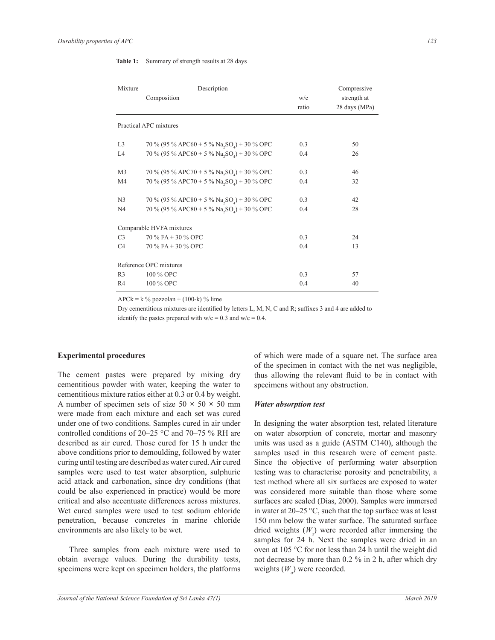| Table 1: |  |  | Summary of strength results at 28 days |  |
|----------|--|--|----------------------------------------|--|
|----------|--|--|----------------------------------------|--|

| Mixture        | Description                                             | Compressive |               |
|----------------|---------------------------------------------------------|-------------|---------------|
|                | Composition                                             |             | strength at   |
|                |                                                         | ratio       | 28 days (MPa) |
|                | Practical APC mixtures                                  |             |               |
| L <sub>3</sub> | 70 % (95 % APC60 + 5 % Na, SO <sub>4</sub> ) + 30 % OPC | 0.3         | 50            |
| IA             | 70 % (95 % APC60 + 5 % Na, SO <sub>4</sub> ) + 30 % OPC | 0.4         | 26            |
| M <sub>3</sub> | 70 % (95 % APC70 + 5 % Na, SO <sub>4</sub> ) + 30 % OPC | 0.3         | 46            |
| M <sub>4</sub> | 70 % (95 % APC70 + 5 % Na, SO <sub>4</sub> ) + 30 % OPC | 0.4         | 32            |
| N <sub>3</sub> | 70 % (95 % APC80 + 5 % Na, $SO_4$ ) + 30 % OPC          | 0.3         | 42            |
| N <sub>4</sub> | 70 % (95 % APC80 + 5 % Na, SO <sub>4</sub> ) + 30 % OPC | 0.4         | 28            |
|                | Comparable HVFA mixtures                                |             |               |
| C <sub>3</sub> | $70\%$ FA + 30 % OPC                                    | 0.3         | 24            |
| C <sub>4</sub> | $70\%$ FA + 30 % OPC                                    | 0.4         | 13            |
|                | Reference OPC mixtures                                  |             |               |
| R <sub>3</sub> | 100 % OPC                                               | 0.3         | 57            |
| R4             | 100 % OPC                                               | 0.4         | 40            |

 $APCk = k$  % pozzolan + (100-k) % lime

Dry cementitious mixtures are identified by letters L, M, N, C and R; suffixes 3 and 4 are added to identify the pastes prepared with  $w/c = 0.3$  and  $w/c = 0.4$ .

#### **Experimental procedures**

The cement pastes were prepared by mixing dry cementitious powder with water, keeping the water to cementitious mixture ratios either at 0.3 or 0.4 by weight. A number of specimen sets of size  $50 \times 50 \times 50$  mm were made from each mixture and each set was cured under one of two conditions. Samples cured in air under controlled conditions of  $20-25$  °C and  $70-75$  % RH are described as air cured. Those cured for 15 h under the above conditions prior to demoulding, followed by water curing until testing are described as water cured. Air cured samples were used to test water absorption, sulphuric acid attack and carbonation, since dry conditions (that could be also experienced in practice) would be more critical and also accentuate differences across mixtures. Wet cured samples were used to test sodium chloride penetration, because concretes in marine chloride environments are also likely to be wet.

 Three samples from each mixture were used to obtain average values. During the durability tests, specimens were kept on specimen holders, the platforms of which were made of a square net. The surface area of the specimen in contact with the net was negligible, thus allowing the relevant fluid to be in contact with specimens without any obstruction.

## *Water absorption test*

In designing the water absorption test, related literature on water absorption of concrete, mortar and masonry units was used as a guide (ASTM C140), although the samples used in this research were of cement paste. Since the objective of performing water absorption testing was to characterise porosity and penetrability, a test method where all six surfaces are exposed to water was considered more suitable than those where some surfaces are sealed (Dias, 2000). Samples were immersed in water at  $20-25$  °C, such that the top surface was at least 150 mm below the water surface. The saturated surface dried weights (*W<sup>s</sup>* ) were recorded after immersing the samples for 24 h. Next the samples were dried in an oven at 105  $\degree$ C for not less than 24 h until the weight did not decrease by more than  $0.2$  % in 2 h, after which dry weights  $(W_d)$  were recorded.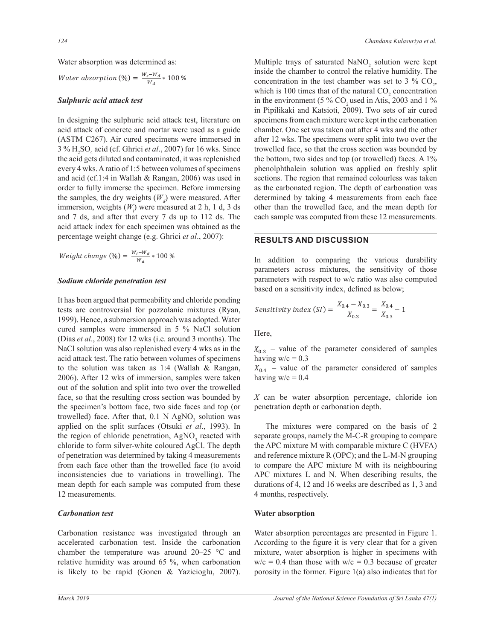Water absorption was determined as:

Water absorption (%) = 
$$
\frac{W_s - W_d}{W_d} * 100 %
$$

#### *Sulphuric acid attack test*

acid attack of concrete and n acid attack of concrete and mortar were used as a guide every 4 wks. A ratio of 1:5 between volumes of specimens the acid gets diluted and contaminated, it was replenished In designing the sulphuric acid attack test, literature on (ASTM C267). Air cured specimens were immersed in  $3\%$  H<sub>2</sub>SO<sub>4</sub> acid (cf. Ghrici *et al.*, 2007) for 16 wks. Since and acid (cf.1:4 in Wallah & Rangan, 2006) was used in order to fully immerse the specimen. Before immersing the samples, the dry weights  $(W_d)$  were measured. After immersion, weights  $(W_i)$  were measured at 2 h, 1 d, 3 ds and  $7$  ds, and after that every  $7$  ds up to  $112$  ds. The acid attack index for each specimen was obtained as the percentage weight change (e.g. Ghrici *et al* 

Weight change (%)  $=\frac{W_i-W_d}{W_d}$  $\frac{1 - Wd}{W_d} * 100\%$ 

## **Sodium chloride penetration test**

It has been argued that permeability and chloride ponding tests are controversial for pozzolanic mixtures (Ryan, 1999). Hence, a submersion approach was adopted. Water cured samples were immersed in  $5\%$  NaCl solution (Dias *et al.*, 2008) for 12 wks (i.e. around 3 months). The NaCl solution was also replenished every 4 wks as in the acid attack test. The ratio between volumes of specimens to the solution was taken as  $1:4$  (Wallah & Rangan, 2006). After 12 wks of immersion, samples were taken out of the solution and split into two over the trowelled face, so that the resulting cross section was bounded by the specimen's bottom face, two side faces and top (or trowelled) face. After that,  $0.1$  N AgNO<sub>3</sub> solution was applied on the split surfaces (Otsuki et al., 1993). In the region of chloride penetration,  $AgNO<sub>3</sub>$  reacted with chloride to form silver-white coloured AgCl. The depth of penetration was determined by taking 4 measurements from each face other than the trowelled face (to avoid inconsistencies due to variations in trowelling). The mean depth for each sample was computed from these 12 measurements.

#### *Carbonation test*

Carbonation resistance was investigated through an accelerated carbonation test. Inside the carbonation chamber the temperature was around  $20-25$  °C and relative humidity was around 65  $\%$ , when carbonation is likely to be rapid (Gonen & Yazicioglu,  $2007$ ). phenolphthalein solution was applied on freshly split the bottom, two sides and top (or trowelled) faces. A 1% Multiple trays of saturated  $\text{NaNO}_2$  solution were kept inside the chamber to control the relative humidity. The concentration in the test chamber was set to 3 %  $CO<sub>2</sub>$ , which is 100 times that of the natural  $CO<sub>2</sub>$  concentration in the environment (5 % CO<sub>2</sub> used in Atis, 2003 and 1 % in Pipilikaki and Katsioti, 2009). Two sets of air cured specimens from each mixture were kept in the carbonation chamber. One set was taken out after 4 wks and the other after 12 wks. The specimens were split into two over the trowelled face, so that the cross section was bounded by sections. The region that remained colourless was taken as the carbonated region. The depth of carbonation was determined by taking 4 measurements from each face other than the trowelled face, and the mean depth for each sample was computed from these 12 measurements.

## **RESULTS AND DISCUSSION**

based on a sensitivity index, defined as below; In addition to comparing the various durability parameters across mixtures, the sensitivity of those parameters with respect to w/c ratio was also computed

$$
Sensitivity\ index\ (SI) = \frac{X_{0.4} - X_{0.3}}{X_{0.3}} = \frac{X_{0.4}}{X_{0.3}} - 1
$$

Here,

he  $X_{0,3}$  – value of the parameter considered of samples  $\ddot{\phantom{0}}$ having  $w/c = 0.3$ 

having  $w/c = 0.4$  $X_{0,4}$  – value of the parameter considered of samples

 $X$  can be water absorption percentage, chloride ion penetration depth or carbonation depth.

 The mixtures were compared on the basis of 2 separate groups, namely the M-C-R grouping to compare the APC mixture M with comparable mixture C (HVFA) and reference mixture  $R(OPC)$ ; and the L-M-N grouping to compare the APC mixture M with its neighbouring APC mixtures  $L$  and  $N$ . When describing results, the durations of 4, 12 and 16 weeks are described as  $1, 3$  and 4 months, respectively.

#### **Water absorption**

Water absorption percentages are presented in Figure 1. According to the figure it is very clear that for a given mixture, water absorption is higher in specimens with  $w/c = 0.4$  than those with  $w/c = 0.3$  because of greater porosity in the former. Figure 1(a) also indicates that for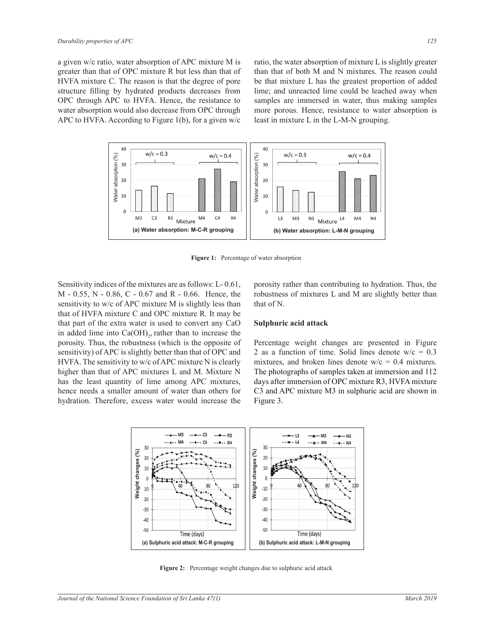a given w/c ratio, water absorption of APC mixture M is greater than that of OPC mixture R but less than that of HVFA mixture C. The reason is that the degree of pore structure filling by hydrated products decreases from OPC through APC to HVFA. Hence, the resistance to water absorption would also decrease from OPC through APC to HVFA. According to Figure 1(b), for a given  $w/c$ 

ratio, the water absorption of mixture L is slightly greater than that of both M and N mixtures. The reason could be that mixture L has the greatest proportion of added lime; and unreacted lime could be leached away when samples are immersed in water, thus making samples more porous. Hence, resistance to water absorption is least in mixture L in the L-M-N grouping.



Figure 1: Percentage of water absorption

Sensitivity indices of the mixtures are as follows:  $L - 0.61$ ,  $M - 0.55$ , N  $- 0.86$ , C  $- 0.67$  and R  $- 0.66$ . Hence, the sensitivity to w/c of APC mixture M is slightly less than that of HVFA mixture C and OPC mixture R. It may be that part of the extra water is used to convert any CaO in added lime into  $Ca(OH)_{2}$ , rather than to increase the porosity. Thus, the robustness (which is the opposite of sensitivity) of APC is slightly better than that of OPC and HVFA. The sensitivity to w/c of APC mixture N is clearly higher than that of APC mixtures L and M. Mixture N has the least quantity of lime among APC mixtures, hence needs a smaller amount of water than others for hydration. Therefore, excess water would increase the

porosity rather than contributing to hydration. Thus, the robustness of mixtures L and M are slightly better than that of N.

#### **Sulphuric acid attack**

Percentage weight changes are presented in Figure 2 as a function of time. Solid lines denote  $w/c = 0.3$ mixtures, and broken lines denote  $w/c = 0.4$  mixtures. The photographs of samples taken at immersion and 112 days after immersion of OPC mixture R3, HVFA mixture C3 and APC mixture M3 in sulphuric acid are shown in Figure 3.



Figure 2: Percentage weight changes due to sulphuric acid attack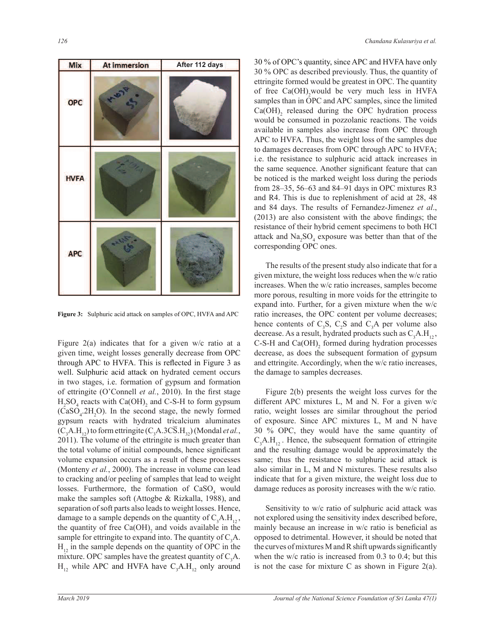

**Figure 3:** Sulphuric acid attack on samples of OPC, HVFA and APC

Figure  $2(a)$  indicates that for a given w/c ratio at a given time, weight losses generally decrease from OPC through APC to HVFA. This is reflected in Figure 3 as well. Sulphuric acid attack on hydrated cement occurs in two stages, i.e. formation of gypsum and formation of ettringite (O'Connell *et al.*, 2010). In the first stage  $H_2SO_4$  reacts with  $Ca(OH)_2$  and C-S-H to form gypsum  $(CaSO<sub>4</sub>.2H<sub>2</sub>O)$ . In the second stage, the newly formed gypsum reacts with hydrated tricalcium aluminates  $(C_3A.H_{12})$  to form ettringite  $(C_3A.3C\overline{S}.H_{32})$  (Mondal *et al.*, 2011). The volume of the ettringite is much greater than the total volume of initial compounds, hence significant volume expansion occurs as a result of these processes (Monteny *et al.*, 2000). The increase in volume can lead to cracking and/or peeling of samples that lead to weight losses. Furthermore, the formation of  $CaSO<sub>4</sub>$  would make the samples soft (Attogbe  $\&$  Rizkalla, 1988), and separation of soft parts also leads to weight losses. Hence, damage to a sample depends on the quantity of  $C_3A.H_{12}$ , the quantity of free  $Ca(OH)$ <sub>2</sub> and voids available in the sample for ettringite to expand into. The quantity of  $C_3A$ .  $H<sub>12</sub>$  in the sample depends on the quantity of OPC in the mixture. OPC samples have the greatest quantity of  $C_3A$ .  $H_{12}$  while APC and HVFA have  $C_3A.H_{12}$  only around

30 % of OPC's quantity, since APC and HVFA have only  $30\%$  OPC as described previously. Thus, the quantity of ettringite formed would be greatest in OPC. The quantity of free  $Ca(OH)$ , would be very much less in HVFA samples than in OPC and APC samples, since the limited  $Ca(OH)$ <sub>2</sub> released during the OPC hydration process would be consumed in pozzolanic reactions. The voids available in samples also increase from OPC through APC to HVFA. Thus, the weight loss of the samples due to damages decreases from OPC through APC to HVFA; i.e. the resistance to sulphuric acid attack increases in the same sequence. Another significant feature that can be noticed is the marked weight loss during the periods from  $28-35$ , 56-63 and  $84-91$  days in OPC mixtures R3 and R4. This is due to replenishment of acid at  $28$ ,  $48$ and 84 days. The results of Fernandez-Jimenez *et al*  $(2013)$  are also consistent with the above findings; the resistance of their hybrid cement specimens to both HCl attack and  $\text{Na}_2\text{SO}_4$  exposure was better than that of the corresponding OPC ones.

 The results of the present study also indicate that for a given mixture, the weight loss reduces when the w/c ratio increases. When the w/c ratio increases, samples become more porous, resulting in more voids for the ettringite to expand into. Further, for a given mixture when the  $w/c$ ratio increases, the OPC content per volume decreases; hence contents of  $C_3S$ ,  $C_2S$  and  $C_3A$  per volume also decrease. As a result, hydrated products such as  $C_3A.H_{12}$ , C-S-H and  $Ca(OH)$ <sub>2</sub> formed during hydration processes decrease, as does the subsequent formation of gypsum and ettringite. Accordingly, when the  $w/c$  ratio increases, the damage to samples decreases.

 Figure 2(b) presents the weight loss curves for the different APC mixtures L, M and N. For a given  $w/c$ ratio, weight losses are similar throughout the period of exposure. Since APC mixtures L, M and N have 30 % OPC, they would have the same quantity of  $C_3A.H_1$ . Hence, the subsequent formation of ettringite and the resulting damage would be approximately the same; thus the resistance to sulphuric acid attack is also similar in L, M and N mixtures. These results also indicate that for a given mixture, the weight loss due to damage reduces as porosity increases with the w/c ratio.

 Sensitivity to w/c ratio of sulphuric acid attack was not explored using the sensitivity index described before, mainly because an increase in  $w/c$  ratio is beneficial as opposed to detrimental. However, it should be noted that the curves of mixtures M and R shift upwards significantly when the w/c ratio is increased from  $0.3$  to  $0.4$ ; but this is not the case for mixture C as shown in Figure 2(a).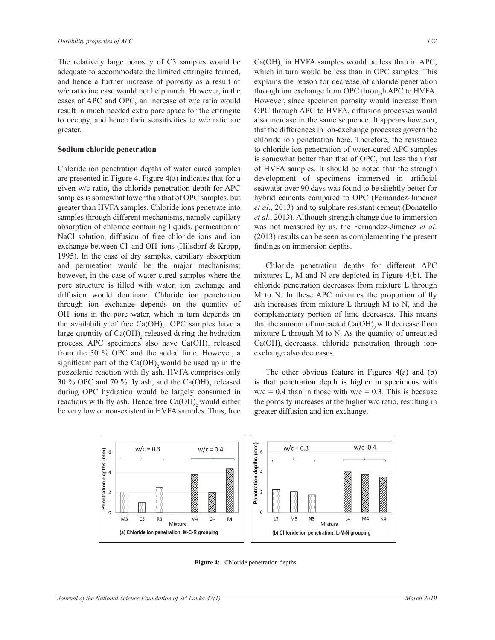The relatively large porosity of C3 samples would be adequate to accommodate the limited ettringite formed, and hence a further increase of porosity as a result of w/c ratio increase would not help much. However, in the cases of APC and OPC, an increase of w/c ratio would result in much needed extra pore space for the ettringite to occupy, and hence their sensitivities to w/c ratio are greater.

#### **Sodium chloride penetration**

Chloride ion penetration depths of water cured samples are presented in Figure 4. Figure 4(a) indicates that for a given  $w/c$  ratio, the chloride penetration depth for APC samples is somewhat lower than that of OPC samples, but greater than HVFA samples. Chloride ions penetrate into samples through different mechanisms, namely capillary absorption of chloride containing liquids, permeation of NaCl solution, diffusion of free chloride ions and ion exchange between Cl and OH ions (Hilsdorf  $&$  Kropp, 1995). In the case of dry samples, capillary absorption and permeation would be the major mechanisms; however, in the case of water cured samples where the pore structure is filled with water, ion exchange and diffusion would dominate. Chloride ion penetration through ion exchange depends on the quantity of OH ions in the pore water, which in turn depends on the availability of free  $Ca(OH)_{2}$ . OPC samples have a large quantity of  $Ca(OH)$ <sub>2</sub> released during the hydration process. APC specimens also have  $Ca(OH)$ <sub>2</sub> released from the 30 % OPC and the added lime. However, a significant part of the  $Ca(OH)$ , would be used up in the pozzolanic reaction with fly ash. HVFA comprises only 30 % OPC and 70 % fly ash, and the  $Ca(OH)$ <sub>2</sub> released during OPC hydration would be largely consumed in reactions with fly ash. Hence free  $Ca(OH)$ , would either be very low or non-existent in HVFA samples. Thus, free

 $Ca(OH)$ <sub>2</sub> in HVFA samples would be less than in APC, which in turn would be less than in OPC samples. This explains the reason for decrease of chloride penetration through ion exchange from OPC through APC to HVFA. However, since specimen porosity would increase from OPC through APC to HVFA, diffusion processes would also increase in the same sequence. It appears however, that the differences in ion-exchange processes govern the chloride ion penetration here. Therefore, the resistance to chloride ion penetration of water-cured APC samples is somewhat better than that of OPC, but less than that of HVFA samples. It should be noted that the strength development of specimens immersed in artificial seawater over 90 days was found to be slightly better for hybrid cements compared to OPC (Fernandez-Jimenez *et al.*, 2013) and to sulphate resistant cement (Donatello *et al.*, 2013). Although strength change due to immersion was not measured by us, the Fernandez-Jimenez et al. (2013) results can be seen as complementing the present findings on immersion depths.

 Chloride penetration depths for different APC mixtures L, M and N are depicted in Figure  $4(b)$ . The chloride penetration decreases from mixture L through  $M$  to N. In these APC mixtures the proportion of fly ash increases from mixture L through M to N, and the complementary portion of lime decreases. This means that the amount of unreacted  $Ca(OH)$ , will decrease from mixture L through M to N. As the quantity of unreacted  $Ca(OH)$ , decreases, chloride penetration through ionexchange also decreases.

 The other obvious feature in Figures 4(a) and (b) is that penetration depth is higher in specimens with  $w/c = 0.4$  than in those with  $w/c = 0.3$ . This is because the porosity increases at the higher  $w/c$  ratio, resulting in greater diffusion and ion exchange.



Figure 4: Chloride penetration depths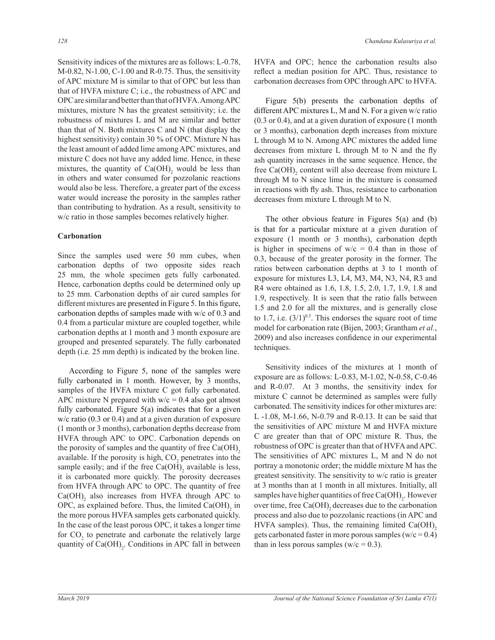Sensitivity indices of the mixtures are as follows: L-0.78,  $M-0.82$ , N $-1.00$ , C $-1.00$  and R $-0.75$ . Thus, the sensitivity of APC mixture M is similar to that of OPC but less than that of HVFA mixture  $C_i$ ; i.e., the robustness of APC and OPC are similar and better than that of HVFA. Among APC mixtures, mixture N has the greatest sensitivity; i.e. the robustness of mixtures L and M are similar and better than that of N. Both mixtures C and N (that display the highest sensitivity) contain 30 % of OPC. Mixture N has the least amount of added lime among APC mixtures, and mixture C does not have any added lime. Hence, in these mixtures, the quantity of  $Ca(OH)$ <sub>2</sub> would be less than in others and water consumed for pozzolanic reactions would also be less. Therefore, a greater part of the excess water would increase the porosity in the samples rather than contributing to hydration. As a result, sensitivity to w/c ratio in those samples becomes relatively higher.

### **Carbonation**

Since the samples used were 50 mm cubes, when carbonation depths of two opposite sides reach 25 mm, the whole specimen gets fully carbonated. Hence, carbonation depths could be determined only up to 25 mm. Carbonation depths of air cured samples for different mixtures are presented in Figure 5. In this figure, carbonation depths of samples made with w/c of 0.3 and 0.4 from a particular mixture are coupled together, while carbonation depths at 1 month and 3 month exposure are grouped and presented separately. The fully carbonated depth (i.e.  $25 \text{ mm}$  depth) is indicated by the broken line.

According to Figure 5, none of the samples were fully carbonated in 1 month. However, by 3 months, samples of the HVFA mixture C got fully carbonated. APC mixture N prepared with  $w/c = 0.4$  also got almost fully carbonated. Figure  $5(a)$  indicates that for a given w/c ratio (0.3 or 0.4) and at a given duration of exposure (1 month or 3 months), carbonation depths decrease from HVFA through APC to OPC. Carbonation depends on the porosity of samples and the quantity of free  $Ca(OH)$ , available. If the porosity is high,  $CO<sub>2</sub>$  penetrates into the sample easily; and if the free  $Ca(OH)$ <sub>2</sub> available is less, it is carbonated more quickly. The porosity decreases from HVFA through APC to OPC. The quantity of free  $Ca(OH)$ <sub>2</sub> also increases from HVFA through APC to OPC, as explained before. Thus, the limited  $Ca(OH)$ <sub>2</sub> in the more porous HVFA samples gets carbonated quickly. In the case of the least porous OPC, it takes a longer time for  $CO<sub>2</sub>$  to penetrate and carbonate the relatively large quantity of  $Ca(OH)_{2}$ . Conditions in APC fall in between HVFA and OPC; hence the carbonation results also reflect a median position for APC. Thus, resistance to carbonation decreases from OPC through APC to HVFA.

Figure  $5(b)$  presents the carbonation depths of different APC mixtures L, M and N. For a given  $w/c$  ratio  $(0.3 \text{ or } 0.4)$ , and at a given duration of exposure  $(1 \text{ month})$ or 3 months), carbonation depth increases from mixture L through M to N. Among APC mixtures the added lime decreases from mixture L through M to N and the fly ash quantity increases in the same sequence. Hence, the free  $Ca(OH)$ <sub>2</sub> content will also decrease from mixture L through M to N since lime in the mixture is consumed in reactions with fly ash. Thus, resistance to carbonation decreases from mixture L through M to N.

The other obvious feature in Figures  $5(a)$  and (b) is that for a particular mixture at a given duration of exposure (1 month or 3 months), carbonation depth is higher in specimens of  $w/c = 0.4$  than in those of  $0.3$ , because of the greater porosity in the former. The ratios between carbonation depths at 3 to 1 month of exposure for mixtures L3, L4, M3, M4, N3, N4, R3 and R4 were obtained as 1.6, 1.8, 1.5, 2.0, 1.7, 1.9, 1.8 and 1.9, respectively. It is seen that the ratio falls between 1.5 and 2.0 for all the mixtures, and is generally close to 1.7, i.e.  $(3/1)^{0.5}$ . This endorses the square root of time model for carbonation rate (Bijen, 2003; Grantham et al., 2009) and also increases confidence in our experimental techniques.

 Sensitivity indices of the mixtures at 1 month of exposure are as follows:  $L$ -0.83, M-1.02, N-0.58, C-0.46 and  $R-0.07$ . At 3 months, the sensitivity index for mixture C cannot be determined as samples were fully carbonated. The sensitivity indices for other mixtures are: L  $-1.08$ , M $-1.66$ , N $-0.79$  and R $-0.13$ . It can be said that the sensitivities of APC mixture M and HVFA mixture C are greater than that of OPC mixture R. Thus, the robustness of OPC is greater than that of HVFA and APC. The sensitivities of APC mixtures L, M and N do not portray a monotonic order; the middle mixture M has the greatest sensitivity. The sensitivity to w/c ratio is greater at 3 months than at 1 month in all mixtures. Initially, all samples have higher quantities of free  $Ca(OH)_{2}$ . However over time, free  $Ca(OH)$ , decreases due to the carbonation process and also due to pozzolanic reactions (in APC and HVFA samples). Thus, the remaining limited  $Ca(OH)$ , gets carbonated faster in more porous samples  $(w/c = 0.4)$ than in less porous samples ( $w/c = 0.3$ ).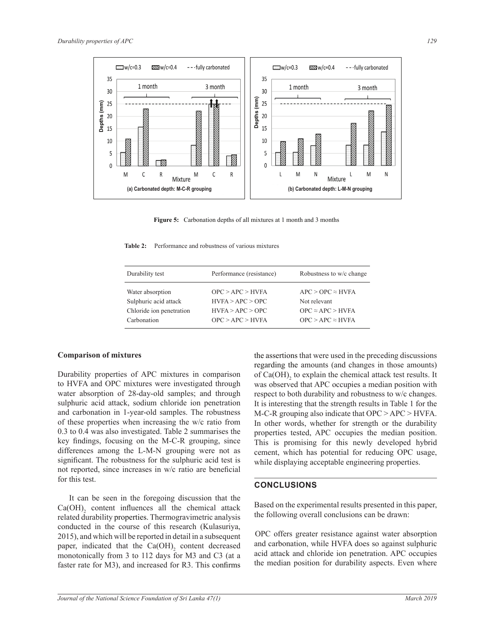

Figure 5: Carbonation depths of all mixtures at 1 month and 3 months

Table 2: Performance and robustness of various mixtures

| Durability test          | Performance (resistance) | Robustness to w/c change |
|--------------------------|--------------------------|--------------------------|
|                          |                          |                          |
| Water absorption         | OPC > APC > HVFA         | $APC > OPC \approx HVFA$ |
| Sulphuric acid attack    | HVFA > APC > OPC         | Not relevant             |
| Chloride ion penetration | HVFA > APC > OPC         | $OPC \approx APC > HVFA$ |
| Carbonation              | OPC > APC > HVFA         | $OPC > APC \approx HVFA$ |
|                          |                          |                          |

#### **Comparison of mixtures**

Durability properties of APC mixtures in comparison to HVFA and OPC mixtures were investigated through water absorption of 28-day-old samples; and through sulphuric acid attack, sodium chloride ion penetration and carbonation in 1-year-old samples. The robustness of these properties when increasing the w/c ratio from 0.3 to 0.4 was also investigated. Table 2 summarises the key findings, focusing on the M-C-R grouping, since differences among the L-M-N grouping were not as significant. The robustness for the sulphuric acid test is not reported, since increases in w/c ratio are beneficial for this test.

 It can be seen in the foregoing discussion that the  $Ca(OH)$ <sub>2</sub> content influences all the chemical attack related durability properties. Thermogravimetric analysis conducted in the course of this research (Kulasuriya, 2015), and which will be reported in detail in a subsequent paper, indicated that the  $Ca(OH)$ <sub>2</sub> content decreased monotonically from 3 to 112 days for M3 and C3 (at a faster rate for M3), and increased for R3. This confirms

the assertions that were used in the preceding discussions regarding the amounts (and changes in those amounts) of  $Ca(OH)$ <sub>2</sub> to explain the chemical attack test results. It was observed that APC occupies a median position with respect to both durability and robustness to w/c changes. It is interesting that the strength results in Table 1 for the M-C-R grouping also indicate that OPC > APC > HVFA. In other words, whether for strength or the durability properties tested, APC occupies the median position. This is promising for this newly developed hybrid cement, which has potential for reducing OPC usage, while displaying acceptable engineering properties.

#### **CONCLUSIONS**

Based on the experimental results presented in this paper, the following overall conclusions can be drawn:

 OPC offers greater resistance against water absorption and carbonation, while HVFA does so against sulphuric acid attack and chloride ion penetration. APC occupies the median position for durability aspects. Even where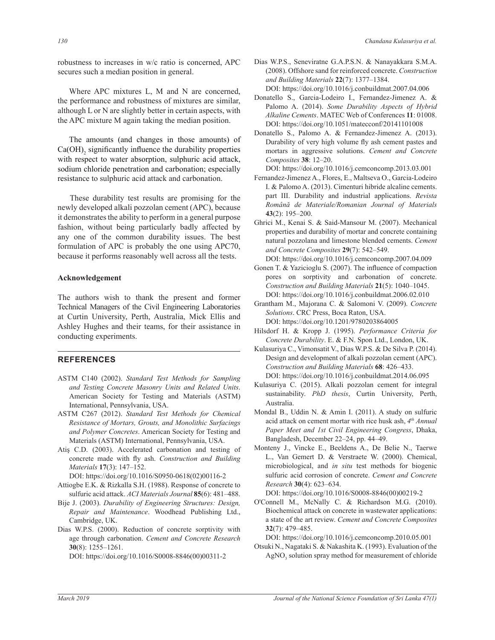robustness to increases in w/c ratio is concerned, APC secures such a median position in general.

Where APC mixtures L, M and N are concerned, the performance and robustness of mixtures are similar, although  $L$  or  $N$  are slightly better in certain aspects, with the APC mixture M again taking the median position.

 The amounts (and changes in those amounts) of  $Ca(OH)$ <sub>2</sub> significantly influence the durability properties with respect to water absorption, sulphuric acid attack, sodium chloride penetration and carbonation; especially resistance to sulphuric acid attack and carbonation.

 These durability test results are promising for the newly developed alkali pozzolan cement (APC), because it demonstrates the ability to perform in a general purpose fashion, without being particularly badly affected by any one of the common durability issues. The best formulation of APC is probably the one using APC70, because it performs reasonably well across all the tests.

#### **Acknowledgement**

The authors wish to thank the present and former Technical Managers of the Civil Engineering Laboratories at Curtin University, Perth, Australia, Mick Ellis and Ashley Hughes and their teams, for their assistance in conducting experiments.

## **REFERENCES**

- ASTM C140 (2002). *Standard Test Methods for Sampling and Testing Concrete Masonry Units and Related Units*. American Society for Testing and Materials (ASTM) International, Pennsylvania, USA.
- ASTM C267 (2012). *Standard Test Methods for Chemical Resistance of Mortars, Grouts, and Monolithic Surfacings and Polymer Concretes*. American Society for Testing and Materials (ASTM) International, Pennsylvania, USA.
- Atiş C.D. (2003). Accelerated carbonation and testing of concrete made with fly ash. Construction and Building *Materials* **17(3)**: 147–152.

DOI: https://doi.org/10.1016/S0950-0618(02)00116-2 Attiogbe E.K. & Rizkalla S.H. (1988). Response of concrete to sulfuric acid attack. *ACI Materials Journal* **85**(6): 481–488.

- Bije J. (2003). *Durability of Engineering Structures: Design, Repair and Maintenance*. Woodhead Publishing Ltd., Cambridge, UK.
- Dias W.P.S. (2000). Reduction of concrete sorptivity with age through carbonation. *Cement and Concrete Research*  $30(8)$ : 1255-1261.

DOI: https://doi.org/10.1016/S0008-8846(00)00311-2

- Dias W.P.S., Seneviratne G.A.P.S.N. & Nanayakkara S.M.A. (2008). Offshore sand for reinforced concrete. *Construction and Building Materials* **22**(7): 1377–1384. DOI: https://doi.org/10.1016/j.conbuildmat.2007.04.006
- Donatello S., Garcia-Lodeiro I., Fernandez-Jimenez A. & Palomo A. (2014). *Some Durability Aspects of Hybrid*  Alkaline Cements. MATEC Web of Conferences 11: 01008. DOI: https://doi.org/10.1051/matecconf/20141101008

Donatello S., Palomo A. & Fernandez-Jimenez A. (2013). Durability of very high volume fly ash cement pastes and mortars in aggressive solutions. *Cement and Concrete Composites* **38**: 12–20.

DOI: https://doi.org/10.1016/j.cemconcomp.2013.03.001

- Fernandez-Jimenez A., Flores, E., Maltseva O., Garcia-Lodeiro I. & Palomo A. (2013). Cimenturi hibride alcaline cements. part III. Durability and industrial applications. *Revista*  Română de Materiale/Romanian Journal of Materials 43(2): 195-200.
- Ghrici M., Kenai S. & Said-Mansour M. (2007). Mechanical properties and durability of mortar and concrete containing natural pozzolana and limestone blended cements. *Cement*  and Concrete Composites 29(7): 542-549.
- DOI: https://doi.org/10.1016/j.cemconcomp.2007.04.009 Gonen T. & Yazicioglu S. (2007). The influence of compaction pores on sorptivity and carbonation of concrete. *Construction and Building Materials* 21(5): 1040–1045. DOI: https://doi.org/10.1016/j.conbuildmat.2006.02.010
- Grantham M., Majorana C. & Salomoni V. (2009). Concrete *Solutions*. CRC Press, Boca Raton, USA. DOI: https://doi.org/10.1201/9780203864005
- Hilsdorf H. & Kropp J. (1995). Performance Criteria for *Concrete Durability*. E. & F.N. Spon Ltd., London, UK.
- Kulasuriya C., Vimonsatit V., Dias W.P.S. & De Silva P. (2014). Design and development of alkali pozzolan cement (APC). *Construction and Building Materials* **68**: 426–433. DOI: https://doi.org/10.1016/j.conbuildmat.2014.06.095
- Kulasuriya C. (2015). Alkali pozzolan cement for integral sustainability. *PhD thesis*, Curtin University, Perth, Australia.
- Mondal B., Uddin N. & Amin I. (2011). A study on sulfuric acid attack on cement mortar with rice husk ash,  $4<sup>th</sup> Annual$ Paper Meet and 1st Civil Engineering Congress, Dhaka, Bangladesh, December 22-24, pp. 44-49.
- Monteny J., Vincke E., Beeldens A., De Belie N., Taerwe L., Van Gemert D. & Verstraete W. (2000). Chemical, microbiological, and *in situ* test methods for biogenic sulfuric acid corrosion of concrete. *Cement and Concrete Research* **30**(4): 623–634.

DOI: https://doi.org/10.1016/S0008-8846(00)00219-2

O'Connell M., McNally C. & Richardson M.G. (2010). Biochemical attack on concrete in wastewater applications: a state of the art review. *Cement and Concrete Composites* 32(7): 479-485.

DOI: https://doi.org/10.1016/j.cemconcomp.2010.05.001

Otsuki N., Nagataki S. & Nakashita K. (1993). Evaluation of the  $\text{AgNO}_3$  solution spray method for measurement of chloride